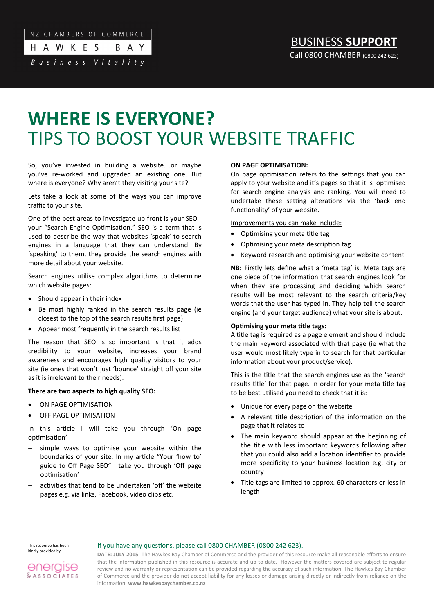# NZ CHAMBERS OF COMMERCE H A W K E S

Business Vitality

# BUSINESS **SUPPORT** Call 0800 CHAMBER (0800 242 623)

# **WHERE IS EVERYONE?** TIPS TO BOOST YOUR WEBSITE TRAFFIC

So, you've invested in building a website….or maybe you've re-worked and upgraded an existing one. But where is everyone? Why aren't they visiting your site?

B A Y

Lets take a look at some of the ways you can improve traffic to your site.

One of the best areas to investigate up front is your SEO your "Search Engine Optimisation." SEO is a term that is used to describe the way that websites 'speak' to search engines in a language that they can understand. By 'speaking' to them, they provide the search engines with more detail about your website.

Search engines utilise complex algorithms to determine which website pages:

- Should appear in their index
- Be most highly ranked in the search results page (ie closest to the top of the search results first page)
- Appear most frequently in the search results list

The reason that SEO is so important is that it adds credibility to your website, increases your brand awareness and encourages high quality visitors to your site (ie ones that won't just 'bounce' straight off your site as it is irrelevant to their needs).

## **There are two aspects to high quality SEO:**

- ON PAGE OPTIMISATION
- OFF PAGE OPTIMISATION

In this article I will take you through 'On page optimisation'

- simple ways to optimise your website within the boundaries of your site. In my article "Your 'how to' guide to Off Page SEO" I take you through 'Off page optimisation'
- activities that tend to be undertaken 'off' the website pages e.g. via links, Facebook, video clips etc.

### **ON PAGE OPTIMISATION:**

On page optimisation refers to the settings that you can apply to your website and it's pages so that it is optimised for search engine analysis and ranking. You will need to undertake these setting alterations via the 'back end functionality' of your website.

Improvements you can make include:

- Optimising your meta title tag
- Optimising your meta description tag
- Keyword research and optimising your website content

**NB:** Firstly lets define what a 'meta tag' is. Meta tags are one piece of the information that search engines look for when they are processing and deciding which search results will be most relevant to the search criteria/key words that the user has typed in. They help tell the search engine (and your target audience) what your site is about.

## **Optimising your meta title tags:**

A title tag is required as a page element and should include the main keyword associated with that page (ie what the user would most likely type in to search for that particular information about your product/service).

This is the title that the search engines use as the 'search results title' for that page. In order for your meta title tag to be best utilised you need to check that it is:

- Unique for every page on the website
- A relevant title description of the information on the page that it relates to
- The main keyword should appear at the beginning of the title with less important keywords following after that you could also add a location identifier to provide more specificity to your business location e.g. city or country
- Title tags are limited to approx. 60 characters or less in length

This resource has been kindly provided by

## If you have any questions, please call 0800 CHAMBER (0800 242 623).

energise  $&$  ASSOCIATES

**DATE: JULY 2015** The Hawkes Bay Chamber of Commerce and the provider of this resource make all reasonable efforts to ensure that the information published in this resource is accurate and up-to-date. However the matters covered are subject to regular review and no warranty or representation can be provided regarding the accuracy of such information. The Hawkes Bay Chamber of Commerce and the provider do not accept liability for any losses or damage arising directly or indirectly from reliance on the information. **www.hawkesbaychamber.co.nz**